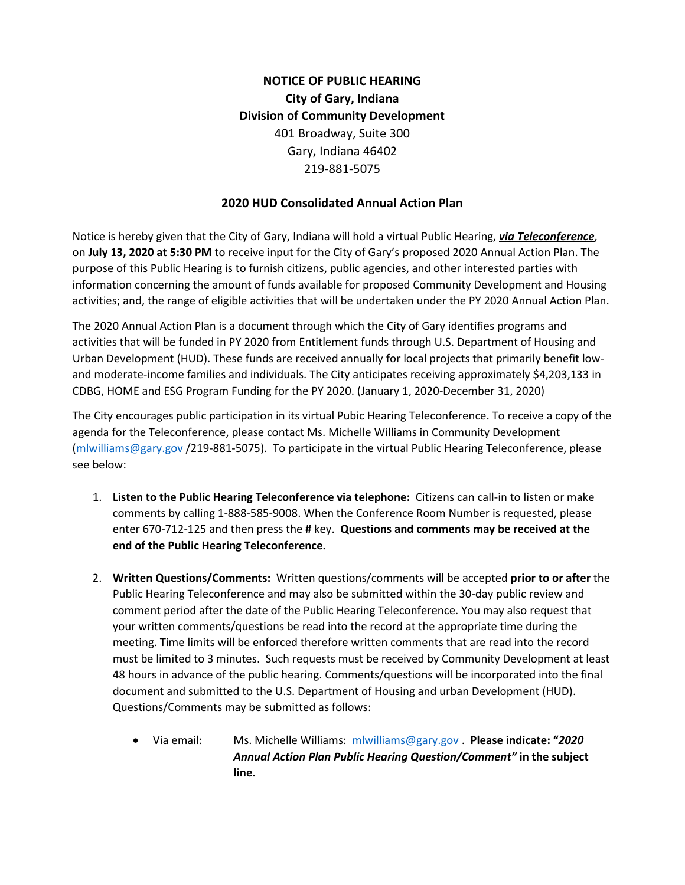## **NOTICE OF PUBLIC HEARING City of Gary, Indiana Division of Community Development** 401 Broadway, Suite 300 Gary, Indiana 46402 219-881-5075

## **2020 HUD Consolidated Annual Action Plan**

Notice is hereby given that the City of Gary, Indiana will hold a virtual Public Hearing, *via Teleconference*, on **July 13, 2020 at 5:30 PM** to receive input for the City of Gary's proposed 2020 Annual Action Plan. The purpose of this Public Hearing is to furnish citizens, public agencies, and other interested parties with information concerning the amount of funds available for proposed Community Development and Housing activities; and, the range of eligible activities that will be undertaken under the PY 2020 Annual Action Plan.

The 2020 Annual Action Plan is a document through which the City of Gary identifies programs and activities that will be funded in PY 2020 from Entitlement funds through U.S. Department of Housing and Urban Development (HUD). These funds are received annually for local projects that primarily benefit lowand moderate-income families and individuals. The City anticipates receiving approximately \$4,203,133 in CDBG, HOME and ESG Program Funding for the PY 2020. (January 1, 2020-December 31, 2020)

The City encourages public participation in its virtual Pubic Hearing Teleconference. To receive a copy of the agenda for the Teleconference, please contact Ms. Michelle Williams in Community Development [\(mlwilliams@gary.gov](mailto:mlwilliams@gary.gov) /219-881-5075). To participate in the virtual Public Hearing Teleconference, please see below:

- 1. **Listen to the Public Hearing Teleconference via telephone:** Citizens can call-in to listen or make comments by calling 1-888-585-9008. When the Conference Room Number is requested, please enter 670-712-125 and then press the **#** key. **Questions and comments may be received at the end of the Public Hearing Teleconference.**
- 2. **Written Questions/Comments:** Written questions/comments will be accepted **prior to or after** the Public Hearing Teleconference and may also be submitted within the 30-day public review and comment period after the date of the Public Hearing Teleconference. You may also request that your written comments/questions be read into the record at the appropriate time during the meeting. Time limits will be enforced therefore written comments that are read into the record must be limited to 3 minutes. Such requests must be received by Community Development at least 48 hours in advance of the public hearing. Comments/questions will be incorporated into the final document and submitted to the U.S. Department of Housing and urban Development (HUD). Questions/Comments may be submitted as follows:
	- Via email: Ms. Michelle Williams: [mlwilliams@gary.gov](mailto:mlwilliams@gary.gov) . **Please indicate: "***2020 Annual Action Plan Public Hearing Question/Comment"* **in the subject line.**